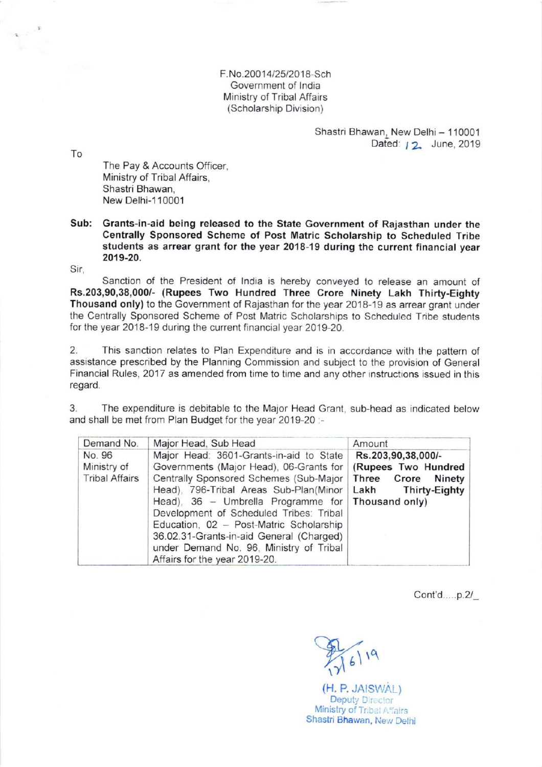F.No.20014/25/2018-Sch Government of India Ministry of Tribal Affairs (Scholarship Division)

> Shastri Bhawan, New Delhi - 110001 Dated: 12 June, 2019

To

The Pay & Accounts Officer, Ministry of Tribal Affairs, Shastri Bhawan, New Delhi-1 10001

Sub: Grants-in-aid being released to the State Government of Rajasthan under the Centrally Sponsored Scheme of Post Matric Scholarship to Scheduled Tribe students as arrear grant for the year 2018-19 during the current financial year 2019-20.

Sir,

Sanction of the President of lndia is hereby conveyed to release an amount of Rs.203,90,38,000/- (Rupees Two Hundred Three Crore Ninety Lakh Thirty-Eighty Thousand only) to the Government of Rajasthan for the year 2018-19 as arrear grant under the Centrally Sponsored Scheme of Post Matric Scholarships to Scheduled Tribe students for the year 2018-19 during the current financial year 2019-20.

2. This sanction relates to Plan Expenditure and is in accordance with the pattern of assistance prescnbed by the Planning Commission and subject to the provision of General Financial Rules, 2017 as amended from time to time and any other instructions issued in this regard.

3. The expenditure is debitable to the Major Head Grant, sub-head as indicated below and shall be met from Plan Budget for the year 2019-20 :-

| Demand No.                                     | Major Head, Sub Head                                                                                                                                                                                                                                                                                                                                                                                                                        | Amount                                                                                   |
|------------------------------------------------|---------------------------------------------------------------------------------------------------------------------------------------------------------------------------------------------------------------------------------------------------------------------------------------------------------------------------------------------------------------------------------------------------------------------------------------------|------------------------------------------------------------------------------------------|
| No. 96<br>Ministry of<br><b>Tribal Affairs</b> | Major Head: 3601-Grants-in-aid to State<br>Governments (Major Head), 06-Grants for<br>Centrally Sponsored Schemes (Sub-Major<br>Head), 796-Tribal Areas Sub-Plan(Minor<br>Head), $36$ - Umbrella Programme for Thousand only)<br>Development of Scheduled Tribes: Tribal<br>Education, 02 - Post-Matric Scholarship<br>36.02.31-Grants-in-aid General (Charged)<br>under Demand No. 96, Ministry of Tribal<br>Affairs for the year 2019-20. | Rs.203,90,38,000/-<br>(Rupees Two Hundred<br>Three Crore<br>Ninety<br>Lakh Thirty-Eighty |

Cont'd.....p.2/\_

 $(16)$  19

(H. P. JAISWAL) Deputy Director Ministry of Tribal Affairs Shastri Bhawan, New Delhi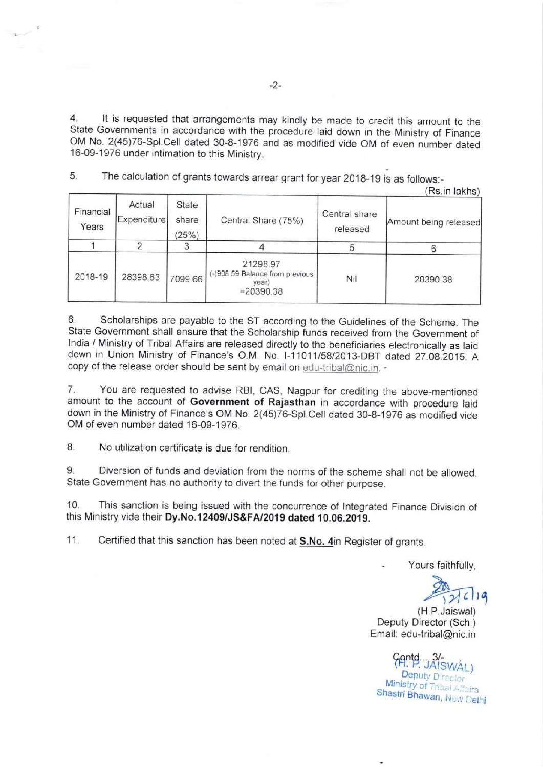4. lt is requested that arrangements may kindly be made to credit this amount to the State Governments in accordance with the procedure laid down in the Ministry of Finance oM No. 2(45)76-spl.cell dated 30-8-1976 and as modified vide oM of even number dated <sup>1</sup>6-09-1976 under intimation to this Ministry.

5. The calculation of grants towards arrear grant for year 2018-19 is as follows:-

 $(D_n \text{ in } l_0 | \text{ then } l_1$ 

| Financial<br>Years | Actual<br>Expenditure | State<br>share<br>(25%) | Central Share (75%)                                                  | Central share<br>released | INS.III IAKIIS<br>Amount being released |
|--------------------|-----------------------|-------------------------|----------------------------------------------------------------------|---------------------------|-----------------------------------------|
|                    |                       |                         |                                                                      |                           |                                         |
| 2018-19            | 28398.63              | 7099.66                 | 21298.97<br>(-)908.59 Balance from previous<br>vear)<br>$= 20390.38$ | Nil                       | 20390.38                                |

copy of the release order should be sent by email on edu-tribal@nic.in. -6. Scholarships are payable to the ST according to the Guidelines of the Scheme. The State Government shall ensure that the Scholarship funds received from the Government of lndia / Ministry of Tribal Affairs are released directly to the beneficiaries electronically as laid down in Union Ministry of Finance's O.M. No. I-11011/58/2013-DBT dated 27.08.2015. A

7. You are requested to advise RBI, CAS, Nagpur for crediting the above-mentioned amount to the account of Government of Rajasthan in accordance with procedure laid down in the Ministry of Finance's OM No. 2(45)76-Spl.Cell dated 30-8-1976 as modified vide OM of even number dated 16-09-1976.

8. No utilization certificate is due for rendition.

9. Diversion of funds and deviation from the norms of the scheme shall not be allowed. State Government has no authority to divert the funds for other purpose.

10. This sanction is being issued with the concurrence of lntegrated Finance Division of this Ministry vide their Dy.No.12409/JS&FA/2019 dated 10.06.2019.

11. Certified that this sanction has been noted at S.No. 4in Register of grants.

Yours faithfully.

(H.P.Jaiswal) Deputy Director (Sch.) Email: edu-tribal@nic.in

(H. P. JAISWAL) Deputy Director winistry of Tribal Affairs<br>Shastri Bhawan, New Delhi Ministry of Tribal Ass.